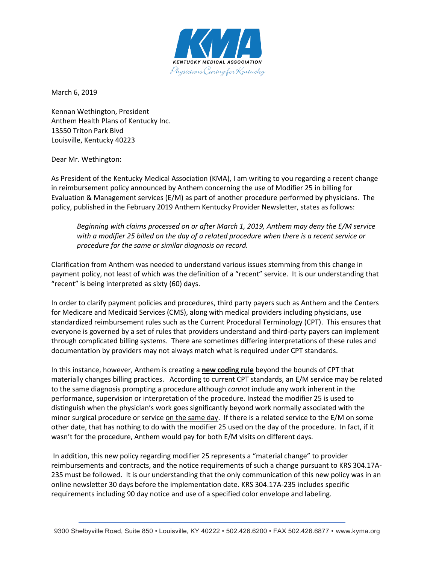

March 6, 2019

Kennan Wethington, President Anthem Health Plans of Kentucky Inc. 13550 Triton Park Blvd Louisville, Kentucky 40223

## Dear Mr. Wethington:

As President of the Kentucky Medical Association (KMA), I am writing to you regarding a recent change in reimbursement policy announced by Anthem concerning the use of Modifier 25 in billing for Evaluation & Management services (E/M) as part of another procedure performed by physicians. The policy, published in the February 2019 Anthem Kentucky Provider Newsletter, states as follows:

*Beginning with claims processed on or after March 1, 2019, Anthem may deny the E/M service with a modifier 25 billed on the day of a related procedure when there is a recent service or procedure for the same or similar diagnosis on record.*

Clarification from Anthem was needed to understand various issues stemming from this change in payment policy, not least of which was the definition of a "recent" service. It is our understanding that "recent" is being interpreted as sixty (60) days.

In order to clarify payment policies and procedures, third party payers such as Anthem and the Centers for Medicare and Medicaid Services (CMS), along with medical providers including physicians, use standardized reimbursement rules such as the Current Procedural Terminology (CPT). This ensures that everyone is governed by a set of rules that providers understand and third-party payers can implement through complicated billing systems. There are sometimes differing interpretations of these rules and documentation by providers may not always match what is required under CPT standards.

In this instance, however, Anthem is creating a **new coding rule** beyond the bounds of CPT that materially changes billing practices. According to current CPT standards, an E/M service may be related to the same diagnosis prompting a procedure although *cannot* include any work inherent in the performance, supervision or interpretation of the procedure. Instead the modifier 25 is used to distinguish when the physician's work goes significantly beyond work normally associated with the minor surgical procedure or service on the same day. If there is a related service to the  $E/M$  on some other date, that has nothing to do with the modifier 25 used on the day of the procedure. In fact, if it wasn't for the procedure, Anthem would pay for both E/M visits on different days.

In addition, this new policy regarding modifier 25 represents a "material change" to provider reimbursements and contracts, and the notice requirements of such a change pursuant to KRS 304.17A-235 must be followed. It is our understanding that the only communication of this new policy was in an online newsletter 30 days before the implementation date. KRS 304.17A-235 includes specific requirements including 90 day notice and use of a specified color envelope and labeling.